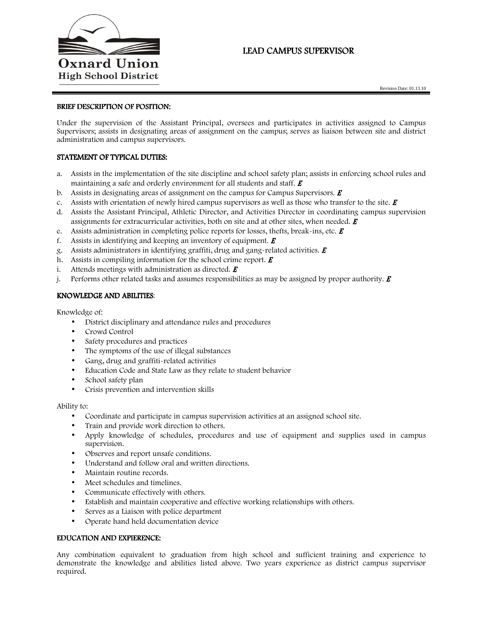

# LEAD CAMPUS SUPERVISOR

### BRIEF DESCRIPTION OF POSITION:

Under the supervision of the Assistant Principal, oversees and participates in activities assigned to Campus Supervisors; assists in designating areas of assignment on the campus; serves as liaison between site and district administration and campus supervisors.

## STATEMENT OF TYPICAL DUTIES:

- a. Assists in the implementation of the site discipline and school safety plan; assists in enforcing school rules and maintaining a safe and orderly environment for all students and staff.  $\boldsymbol{E}$
- b. Assists in designating areas of assignment on the campus for Campus Supervisors.  $\boldsymbol{E}$
- c. Assists with orientation of newly hired campus supervisors as well as those who transfer to the site.  $\bm{E}$
- d. Assists the Assistant Principal, Athletic Director, and Activities Director in coordinating campus supervision assignments for extracurricular activities, both on site and at other sites, when needed.  $E$
- e. Assists administration in completing police reports for losses, thefts, break-ins, etc.  $\boldsymbol{E}$
- f. Assists in identifying and keeping an inventory of equipment.  $\boldsymbol{E}$
- g. Assists administrators in identifying graffiti, drug and gang-related activities.  $\boldsymbol{E}$
- h. Assists in compiling information for the school crime report.  $\boldsymbol{E}$
- i. Attends meetings with administration as directed.  $\boldsymbol{E}$
- j. Performs other related tasks and assumes responsibilities as may be assigned by proper authority.  $\vec{E}$

#### KNOWLEDGE AND ABILITIES:

Knowledge of:

- District disciplinary and attendance rules and procedures
- Crowd Control
- Safety procedures and practices
- The symptoms of the use of illegal substances
- Gang, drug and graffiti-related activities
- Education Code and State Law as they relate to student behavior
- School safety plan
- Crisis prevention and intervention skills

Ability to:

- Coordinate and participate in campus supervision activities at an assigned school site.
- Train and provide work direction to others.
- Apply knowledge of schedules, procedures and use of equipment and supplies used in campus supervision.
- Observes and report unsafe conditions.
- Understand and follow oral and written directions.
- Maintain routine records.
- Meet schedules and timelines.
- Communicate effectively with others.
- Establish and maintain cooperative and effective working relationships with others.
- Serves as a Liaison with police department
- Operate hand held documentation device

### EDUCATION AND EXPIERENCE:

Any combination equivalent to graduation from high school and sufficient training and experience to demonstrate the knowledge and abilities listed above. Two years experience as district campus supervisor required.